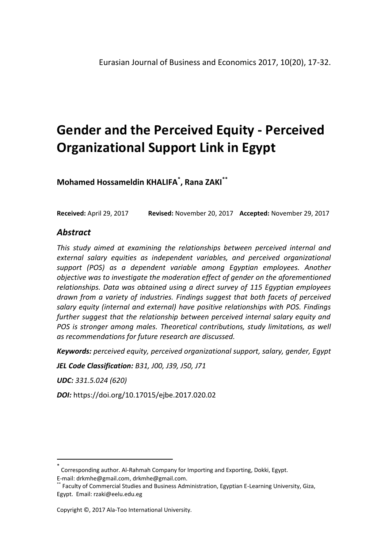**Mohamed Hossameldin KHALIFA\* , Rana ZAKI\*\***

**Received:** April 29, 2017 **Revised:** November 20, 2017 **Accepted:** November 29, 2017

# *Abstract*

*This study aimed at examining the relationships between perceived internal and external salary equities as independent variables, and perceived organizational support (POS) as a dependent variable among Egyptian employees. Another objective was to investigate the moderation effect of gender on the aforementioned relationships. Data was obtained using a direct survey of 115 Egyptian employees drawn from a variety of industries. Findings suggest that both facets of perceived salary equity (internal and external) have positive relationships with POS. Findings further suggest that the relationship between perceived internal salary equity and POS is stronger among males. Theoretical contributions, study limitations, as well as recommendations for future research are discussed.*

*Keywords: perceived equity, perceived organizational support, salary, gender, Egypt*

*JEL Code Classification: B31, J00, J39, J50, J71*

*UDC: 331.5.024 (620)*

 $\overline{a}$ 

*DOI:* https://doi.org/10.17015/ejbe.2017.020.02

<sup>\*</sup> Corresponding author. Al-Rahmah Company for Importing and Exporting, Dokki, Egypt. E-mail[: drkmhe@gmail.com, drkmhe@gmail.com.](mailto:drkmhe@gmail.com)

Faculty of Commercial Studies and Business Administration, Egyptian E-Learning University, Giza, Egypt. Email[: rzaki@eelu.edu.eg](mailto:rzaki@eelu.edu.eg)

Copyright ©, 2017 Ala-Too International University.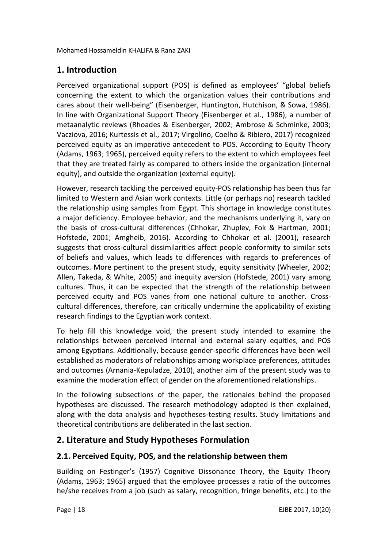# **1. Introduction**

Perceived organizational support (POS) is defined as employees' "global beliefs concerning the extent to which the organization values their contributions and cares about their well-being" (Eisenberger, Huntington, Hutchison, & Sowa, 1986). In line with Organizational Support Theory (Eisenberger et al., 1986), a number of metaanalytic reviews (Rhoades & Eisenberger, 2002; Ambrose & Schminke, 2003; Vacziova, 2016; Kurtessis et al., 2017; Virgolino, Coelho & Ribiero, 2017) recognized perceived equity as an imperative antecedent to POS. According to Equity Theory (Adams, 1963; 1965), perceived equity refers to the extent to which employees feel that they are treated fairly as compared to others inside the organization (internal equity), and outside the organization (external equity).

However, research tackling the perceived equity-POS relationship has been thus far limited to Western and Asian work contexts. Little (or perhaps no) research tackled the relationship using samples from Egypt. This shortage in knowledge constitutes a major deficiency. Employee behavior, and the mechanisms underlying it, vary on the basis of cross-cultural differences (Chhokar, Zhuplev, Fok & Hartman, 2001; Hofstede, 2001; Amgheib, 2016). According to Chhokar et al. (2001), research suggests that cross-cultural dissimilarities affect people conformity to similar sets of beliefs and values, which leads to differences with regards to preferences of outcomes. More pertinent to the present study, equity sensitivity (Wheeler, 2002; Allen, Takeda, & White, 2005) and inequity aversion (Hofstede, 2001) vary among cultures. Thus, it can be expected that the strength of the relationship between perceived equity and POS varies from one national culture to another. Crosscultural differences, therefore, can critically undermine the applicability of existing research findings to the Egyptian work context.

To help fill this knowledge void, the present study intended to examine the relationships between perceived internal and external salary equities, and POS among Egyptians. Additionally, because gender-specific differences have been well established as moderators of relationships among workplace preferences, attitudes and outcomes (Arnania-Kepuladze, 2010), another aim of the present study was to examine the moderation effect of gender on the aforementioned relationships.

In the following subsections of the paper, the rationales behind the proposed hypotheses are discussed. The research methodology adopted is then explained, along with the data analysis and hypotheses-testing results. Study limitations and theoretical contributions are deliberated in the last section.

# **2. Literature and Study Hypotheses Formulation**

# **2.1. Perceived Equity, POS, and the relationship between them**

Building on Festinger's (1957) Cognitive Dissonance Theory, the Equity Theory (Adams, 1963; 1965) argued that the employee processes a ratio of the outcomes he/she receives from a job (such as salary, recognition, fringe benefits, etc.) to the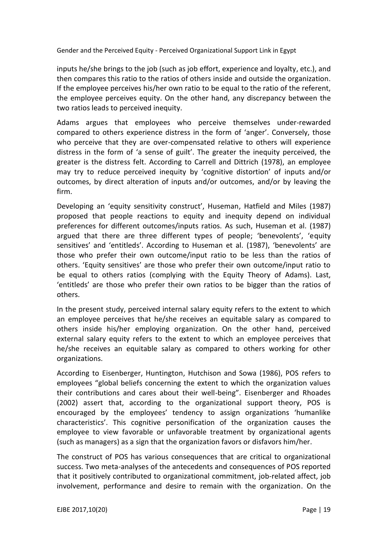inputs he/she brings to the job (such as job effort, experience and loyalty, etc.), and then compares this ratio to the ratios of others inside and outside the organization. If the employee perceives his/her own ratio to be equal to the ratio of the referent, the employee perceives equity. On the other hand, any discrepancy between the two ratios leads to perceived inequity.

Adams argues that employees who perceive themselves under-rewarded compared to others experience distress in the form of 'anger'. Conversely, those who perceive that they are over-compensated relative to others will experience distress in the form of 'a sense of guilt'. The greater the inequity perceived, the greater is the distress felt. According to Carrell and Dittrich (1978), an employee may try to reduce perceived inequity by 'cognitive distortion' of inputs and/or outcomes, by direct alteration of inputs and/or outcomes, and/or by leaving the firm.

Developing an 'equity sensitivity construct', Huseman, Hatfield and Miles (1987) proposed that people reactions to equity and inequity depend on individual preferences for different outcomes/inputs ratios. As such, Huseman et al. (1987) argued that there are three different types of people; 'benevolents', 'equity sensitives' and 'entitleds'. According to Huseman et al. (1987), 'benevolents' are those who prefer their own outcome/input ratio to be less than the ratios of others. 'Equity sensitives' are those who prefer their own outcome/input ratio to be equal to others ratios (complying with the Equity Theory of Adams). Last, 'entitleds' are those who prefer their own ratios to be bigger than the ratios of others.

In the present study, perceived internal salary equity refers to the extent to which an employee perceives that he/she receives an equitable salary as compared to others inside his/her employing organization. On the other hand, perceived external salary equity refers to the extent to which an employee perceives that he/she receives an equitable salary as compared to others working for other organizations.

According to Eisenberger, Huntington, Hutchison and Sowa (1986), POS refers to employees "global beliefs concerning the extent to which the organization values their contributions and cares about their well-being". Eisenberger and Rhoades (2002) assert that, according to the organizational support theory, POS is encouraged by the employees' tendency to assign organizations 'humanlike characteristics'. This cognitive personification of the organization causes the employee to view favorable or unfavorable treatment by organizational agents (such as managers) as a sign that the organization favors or disfavors him/her.

The construct of POS has various consequences that are critical to organizational success. Two meta-analyses of the antecedents and consequences of POS reported that it positively contributed to organizational commitment, job-related affect, job involvement, performance and desire to remain with the organization. On the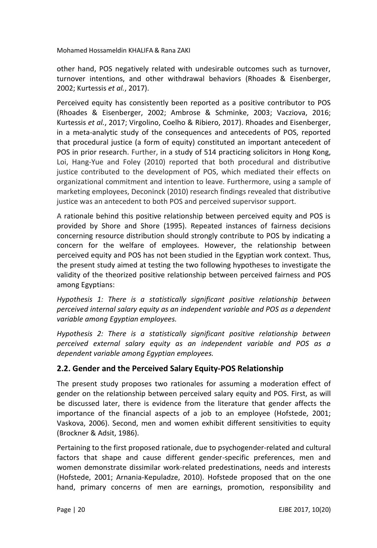other hand, POS negatively related with undesirable outcomes such as turnover, turnover intentions, and other withdrawal behaviors (Rhoades & Eisenberger, 2002; Kurtessis *et al.*, 2017).

Perceived equity has consistently been reported as a positive contributor to POS (Rhoades & Eisenberger, 2002; Ambrose & Schminke, 2003; Vacziova, 2016; Kurtessis *et al.*, 2017; Virgolino, Coelho & Ribiero, 2017). Rhoades and Eisenberger, in a meta-analytic study of the consequences and antecedents of POS, reported that procedural justice (a form of equity) constituted an important antecedent of POS in prior research. Further, in a study of 514 practicing solicitors in Hong Kong, Loi, Hang‐Yue and Foley (2010) reported that both procedural and distributive justice contributed to the development of POS, which mediated their effects on organizational commitment and intention to leave. Furthermore, using a sample of marketing employees, Deconinck (2010) research findings revealed that distributive justice was an antecedent to both POS and perceived supervisor support.

A rationale behind this positive relationship between perceived equity and POS is provided by Shore and Shore (1995). Repeated instances of fairness decisions concerning resource distribution should strongly contribute to POS by indicating a concern for the welfare of employees. However, the relationship between perceived equity and POS has not been studied in the Egyptian work context. Thus, the present study aimed at testing the two following hypotheses to investigate the validity of the theorized positive relationship between perceived fairness and POS among Egyptians:

*Hypothesis 1: There is a statistically significant positive relationship between perceived internal salary equity as an independent variable and POS as a dependent variable among Egyptian employees.*

*Hypothesis 2: There is a statistically significant positive relationship between perceived external salary equity as an independent variable and POS as a dependent variable among Egyptian employees.*

## **2.2. Gender and the Perceived Salary Equity-POS Relationship**

The present study proposes two rationales for assuming a moderation effect of gender on the relationship between perceived salary equity and POS. First, as will be discussed later, there is evidence from the literature that gender affects the importance of the financial aspects of a job to an employee (Hofstede, 2001; Vaskova, 2006). Second, men and women exhibit different sensitivities to equity (Brockner & Adsit, 1986).

Pertaining to the first proposed rationale, due to psychogender-related and cultural factors that shape and cause different gender-specific preferences, men and women demonstrate dissimilar work-related predestinations, needs and interests (Hofstede, 2001; Arnania-Kepuladze, 2010). Hofstede proposed that on the one hand, primary concerns of men are earnings, promotion, responsibility and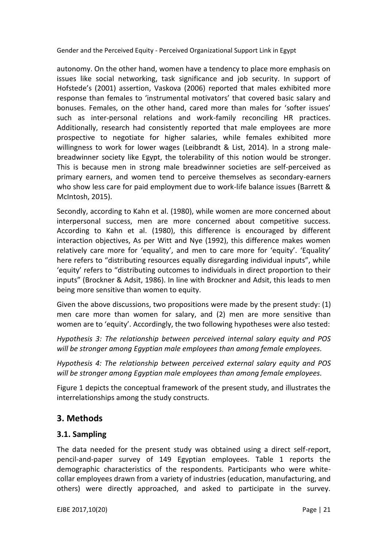autonomy. On the other hand, women have a tendency to place more emphasis on issues like social networking, task significance and job security. In support of Hofstede's (2001) assertion, Vaskova (2006) reported that males exhibited more response than females to 'instrumental motivators' that covered basic salary and bonuses. Females, on the other hand, cared more than males for 'softer issues' such as inter-personal relations and work-family reconciling HR practices. Additionally, research had consistently reported that male employees are more prospective to negotiate for higher salaries, while females exhibited more willingness to work for lower wages (Leibbrandt & List, 2014). In a strong malebreadwinner society like Egypt, the tolerability of this notion would be stronger. This is because men in strong male breadwinner societies are self-perceived as primary earners, and women tend to perceive themselves as secondary-earners who show less care for paid employment due to work-life balance issues (Barrett & McIntosh, 2015).

Secondly, according to Kahn et al. (1980), while women are more concerned about interpersonal success, men are more concerned about competitive success. According to Kahn et al. (1980), this difference is encouraged by different interaction objectives, As per Witt and Nye (1992), this difference makes women relatively care more for 'equality', and men to care more for 'equity'. 'Equality' here refers to "distributing resources equally disregarding individual inputs", while 'equity' refers to "distributing outcomes to individuals in direct proportion to their inputs" (Brockner & Adsit, 1986). In line with Brockner and Adsit, this leads to men being more sensitive than women to equity.

Given the above discussions, two propositions were made by the present study: (1) men care more than women for salary, and (2) men are more sensitive than women are to 'equity'. Accordingly, the two following hypotheses were also tested:

*Hypothesis 3: The relationship between perceived internal salary equity and POS will be stronger among Egyptian male employees than among female employees.*

*Hypothesis 4: The relationship between perceived external salary equity and POS will be stronger among Egyptian male employees than among female employees.*

Figure 1 depicts the conceptual framework of the present study, and illustrates the interrelationships among the study constructs.

# **3. Methods**

## **3.1. Sampling**

The data needed for the present study was obtained using a direct self-report, pencil-and-paper survey of 149 Egyptian employees. Table 1 reports the demographic characteristics of the respondents. Participants who were whitecollar employees drawn from a variety of industries (education, manufacturing, and others) were directly approached, and asked to participate in the survey.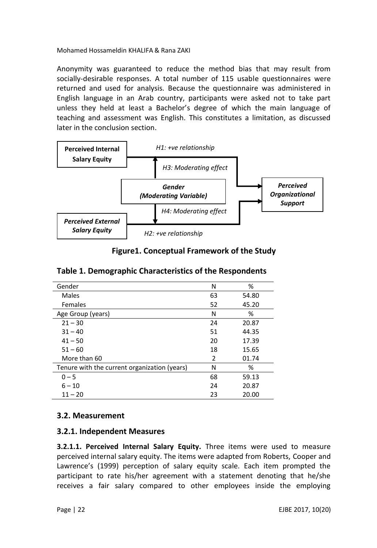Anonymity was guaranteed to reduce the method bias that may result from socially-desirable responses. A total number of 115 usable questionnaires were returned and used for analysis. Because the questionnaire was administered in English language in an Arab country, participants were asked not to take part unless they held at least a Bachelor's degree of which the main language of teaching and assessment was English. This constitutes a limitation, as discussed later in the conclusion section.



**Figure1. Conceptual Framework of the Study**

| Gender                                       | N  | %     |
|----------------------------------------------|----|-------|
| Males                                        | 63 | 54.80 |
| Females                                      | 52 | 45.20 |
| Age Group (years)                            | Ν  | %     |
| $21 - 30$                                    | 24 | 20.87 |
| $31 - 40$                                    | 51 | 44.35 |
| $41 - 50$                                    | 20 | 17.39 |
| $51 - 60$                                    | 18 | 15.65 |
| More than 60                                 | 2  | 01.74 |
| Tenure with the current organization (years) | Ν  | %     |
| $0 - 5$                                      | 68 | 59.13 |
| $6 - 10$                                     | 24 | 20.87 |
| $11 - 20$                                    | 23 | 20.00 |

# **3.2. Measurement**

## **3.2.1. Independent Measures**

**3.2.1.1. Perceived Internal Salary Equity.** Three items were used to measure perceived internal salary equity. The items were adapted from Roberts, Cooper and Lawrence's (1999) perception of salary equity scale. Each item prompted the participant to rate his/her agreement with a statement denoting that he/she receives a fair salary compared to other employees inside the employing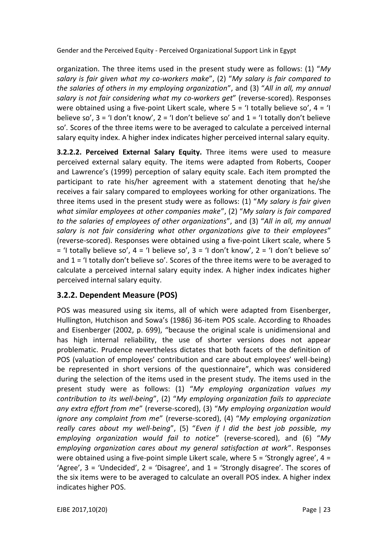organization. The three items used in the present study were as follows: (1) "*My salary is fair given what my co-workers make*", (2) "*My salary is fair compared to the salaries of others in my employing organization*", and (3) "*All in all, my annual salary is not fair considering what my co-workers get*" (reverse-scored). Responses were obtained using a five-point Likert scale, where  $5 = 1$  totally believe so',  $4 = 1$ believe so',  $3 = 1$  don't know',  $2 = 1$  don't believe so' and  $1 = 1$  totally don't believe so'*.* Scores of the three items were to be averaged to calculate a perceived internal salary equity index. A higher index indicates higher perceived internal salary equity.

**3.2.2.2. Perceived External Salary Equity.** Three items were used to measure perceived external salary equity. The items were adapted from Roberts, Cooper and Lawrence's (1999) perception of salary equity scale. Each item prompted the participant to rate his/her agreement with a statement denoting that he/she receives a fair salary compared to employees working for other organizations. The three items used in the present study were as follows: (1) "*My salary is fair given what similar employees at other companies make*", (2) "*My salary is fair compared to the salaries of employees of other organizations*", and (3) "*All in all, my annual salary is not fair considering what other organizations give to their employees*" (reverse-scored). Responses were obtained using a five-point Likert scale, where 5  $=$  'I totally believe so',  $4 =$  'I believe so',  $3 =$  'I don't know',  $2 =$  'I don't believe so' and 1 = 'I totally don't believe so'*.* Scores of the three items were to be averaged to calculate a perceived internal salary equity index. A higher index indicates higher perceived internal salary equity.

## **3.2.2. Dependent Measure (POS)**

POS was measured using six items, all of which were adapted from Eisenberger, Hullington, Hutchison and Sowa's (1986) 36-item POS scale. According to Rhoades and Eisenberger (2002, p. 699), "because the original scale is unidimensional and has high internal reliability, the use of shorter versions does not appear problematic. Prudence nevertheless dictates that both facets of the definition of POS (valuation of employees' contribution and care about employees' well-being) be represented in short versions of the questionnaire", which was considered during the selection of the items used in the present study. The items used in the present study were as follows: (1) "*My employing organization values my contribution to its well-being*", (2) "*My employing organization fails to appreciate any extra effort from me*" (reverse-scored), (3) "*My employing organization would ignore any complaint from me*" (reverse-scored), (4) "*My employing organization really cares about my well-being*", (5) "*Even if I did the best job possible, my employing organization would fail to notice*" (reverse-scored), and (6) "*My employing organization cares about my general satisfaction at work*". Responses were obtained using a five-point simple Likert scale, where  $5 =$  'Strongly agree',  $4 =$ 'Agree', 3 = 'Undecided', 2 = 'Disagree', and 1 = 'Strongly disagree'. The scores of the six items were to be averaged to calculate an overall POS index. A higher index indicates higher POS.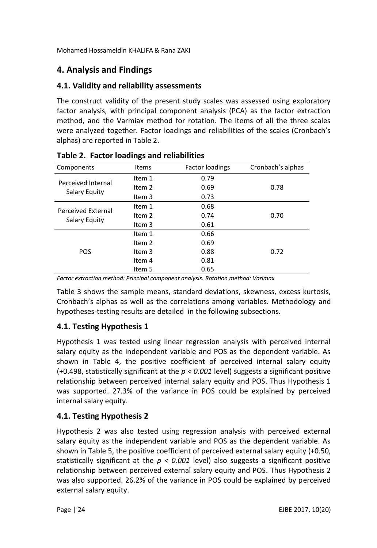# **4. Analysis and Findings**

## **4.1. Validity and reliability assessments**

The construct validity of the present study scales was assessed using exploratory factor analysis, with principal component analysis (PCA) as the factor extraction method, and the Varmiax method for rotation. The items of all the three scales were analyzed together. Factor loadings and reliabilities of the scales (Cronbach's alphas) are reported in Table 2.

| Components         | <b>Items</b>      | <b>Factor loadings</b> | Cronbach's alphas |
|--------------------|-------------------|------------------------|-------------------|
|                    | Item 1            | 0.79                   |                   |
| Perceived Internal | Item <sub>2</sub> | 0.69                   | 0.78              |
| Salary Equity      | Item 3            | 0.73                   |                   |
| Perceived External | Item 1            | 0.68                   |                   |
| Salary Equity      | Item <sub>2</sub> | 0.74                   | 0.70              |
|                    | Item 3            | 0.61                   |                   |
|                    | Item 1            | 0.66                   |                   |
|                    | Item <sub>2</sub> | 0.69                   |                   |
| POS                | Item 3            | 0.88                   | 0.72              |
|                    | Item 4            | 0.81                   |                   |
|                    | Item 5            | 0.65                   |                   |

**Table 2. Factor loadings and reliabilities**

*Factor extraction method: Principal component analysis. Rotation method: Varimax*

Table 3 shows the sample means, standard deviations, skewness, excess kurtosis, Cronbach's alphas as well as the correlations among variables. Methodology and hypotheses-testing results are detailed in the following subsections.

# **4.1. Testing Hypothesis 1**

Hypothesis 1 was tested using linear regression analysis with perceived internal salary equity as the independent variable and POS as the dependent variable. As shown in Table 4, the positive coefficient of perceived internal salary equity (+0.498, statistically significant at the *p < 0.001* level) suggests a significant positive relationship between perceived internal salary equity and POS. Thus Hypothesis 1 was supported. 27.3% of the variance in POS could be explained by perceived internal salary equity.

# **4.1. Testing Hypothesis 2**

Hypothesis 2 was also tested using regression analysis with perceived external salary equity as the independent variable and POS as the dependent variable. As shown in Table 5, the positive coefficient of perceived external salary equity (+0.50, statistically significant at the  $p < 0.001$  level) also suggests a significant positive relationship between perceived external salary equity and POS. Thus Hypothesis 2 was also supported. 26.2% of the variance in POS could be explained by perceived external salary equity.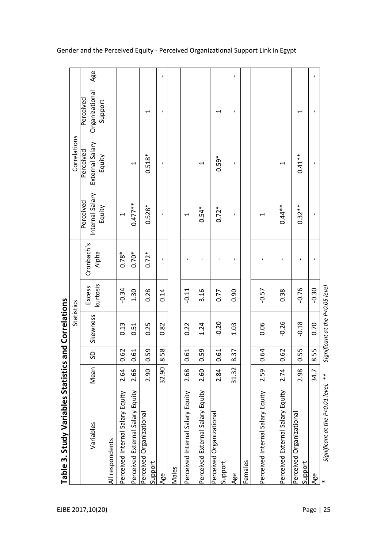| Internal Salary<br>Perceived<br>$0.477***$<br>$0.528*$<br>$0.44**$<br>Equity<br>$0.54*$<br>$0.72*$<br>ı<br>J.<br>ſ<br>ſ<br>Cronbach's<br>Alpha<br>$0.78*$<br>$0.72*$<br>$0.70*$<br>f,<br>ı<br>kurtosis<br>Excess<br>$-0.34$<br>0.14<br>$-0.11$<br>3.16<br>$-0.57$<br>1.30<br>0.28<br>0.77<br>0.90<br>0.38<br>Skewness<br>$-0.20$<br>$-0.26$<br>1.24<br>0.06<br>0.13<br>0.25<br>0.51<br>0.82<br>0.22<br>1.03<br>8.58<br>0.59<br>0.64<br>0.62<br>0.59<br>0.61<br>0.62<br>0.61<br>8.37<br>0.61<br>G<br>Mean<br>32.90<br>31.32<br>2.59<br>2.84<br>2.74<br>2.64<br>2.66<br>2.90<br>2.68<br>2.60<br>Salary Equity<br>Perceived External Salary Equity<br>Salary Equity<br>Salary Equity<br>Salary Equity<br>Salary Equity<br>Perceived Organizational<br>Perceived Organizational<br>Perceived Organizational<br>Variables<br>Perceived External<br>Perceived External<br>Perceived Internal<br>Perceived Internal<br>Perceived Internal<br>All respondents<br>Females<br>Support<br>Support<br>Males<br>Age<br>Age |                                        | Correlations                           |
|---------------------------------------------------------------------------------------------------------------------------------------------------------------------------------------------------------------------------------------------------------------------------------------------------------------------------------------------------------------------------------------------------------------------------------------------------------------------------------------------------------------------------------------------------------------------------------------------------------------------------------------------------------------------------------------------------------------------------------------------------------------------------------------------------------------------------------------------------------------------------------------------------------------------------------------------------------------------------------------------------------------|----------------------------------------|----------------------------------------|
|                                                                                                                                                                                                                                                                                                                                                                                                                                                                                                                                                                                                                                                                                                                                                                                                                                                                                                                                                                                                               | External Salary<br>Perceived<br>Equity | Organizational<br>Perceived<br>Support |
|                                                                                                                                                                                                                                                                                                                                                                                                                                                                                                                                                                                                                                                                                                                                                                                                                                                                                                                                                                                                               |                                        |                                        |
|                                                                                                                                                                                                                                                                                                                                                                                                                                                                                                                                                                                                                                                                                                                                                                                                                                                                                                                                                                                                               |                                        |                                        |
|                                                                                                                                                                                                                                                                                                                                                                                                                                                                                                                                                                                                                                                                                                                                                                                                                                                                                                                                                                                                               | $\overline{\phantom{0}}$               |                                        |
|                                                                                                                                                                                                                                                                                                                                                                                                                                                                                                                                                                                                                                                                                                                                                                                                                                                                                                                                                                                                               | $0.518*$                               | $\overline{\phantom{0}}$               |
|                                                                                                                                                                                                                                                                                                                                                                                                                                                                                                                                                                                                                                                                                                                                                                                                                                                                                                                                                                                                               | J.                                     | ×                                      |
|                                                                                                                                                                                                                                                                                                                                                                                                                                                                                                                                                                                                                                                                                                                                                                                                                                                                                                                                                                                                               |                                        |                                        |
|                                                                                                                                                                                                                                                                                                                                                                                                                                                                                                                                                                                                                                                                                                                                                                                                                                                                                                                                                                                                               |                                        |                                        |
|                                                                                                                                                                                                                                                                                                                                                                                                                                                                                                                                                                                                                                                                                                                                                                                                                                                                                                                                                                                                               | 1                                      |                                        |
|                                                                                                                                                                                                                                                                                                                                                                                                                                                                                                                                                                                                                                                                                                                                                                                                                                                                                                                                                                                                               | $0.59*$                                | ⊣                                      |
|                                                                                                                                                                                                                                                                                                                                                                                                                                                                                                                                                                                                                                                                                                                                                                                                                                                                                                                                                                                                               | ı                                      | ı                                      |
|                                                                                                                                                                                                                                                                                                                                                                                                                                                                                                                                                                                                                                                                                                                                                                                                                                                                                                                                                                                                               |                                        |                                        |
|                                                                                                                                                                                                                                                                                                                                                                                                                                                                                                                                                                                                                                                                                                                                                                                                                                                                                                                                                                                                               |                                        |                                        |
|                                                                                                                                                                                                                                                                                                                                                                                                                                                                                                                                                                                                                                                                                                                                                                                                                                                                                                                                                                                                               | 1                                      |                                        |
| $-0.76$<br>$-0.18$<br>0.55<br>2.98<br>Support                                                                                                                                                                                                                                                                                                                                                                                                                                                                                                                                                                                                                                                                                                                                                                                                                                                                                                                                                                 | $0.41**$<br>$0.32**$                   | ⊣                                      |
| ı<br>ı<br>$-0.30$<br>0.70<br>8.55<br>34.7<br>Age                                                                                                                                                                                                                                                                                                                                                                                                                                                                                                                                                                                                                                                                                                                                                                                                                                                                                                                                                              | $\mathbf{I}$                           | $\blacksquare$                         |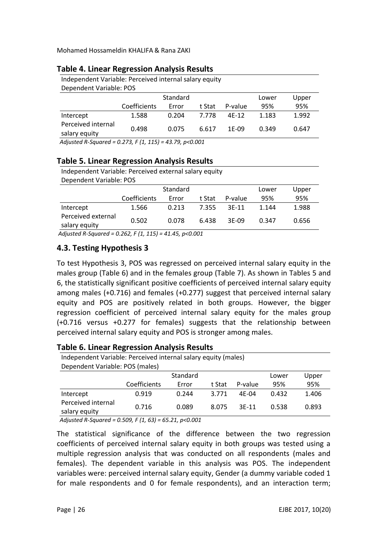| Independent Variable: Perceived internal salary equity |              |          |        |         |       |       |  |  |
|--------------------------------------------------------|--------------|----------|--------|---------|-------|-------|--|--|
| Dependent Variable: POS                                |              |          |        |         |       |       |  |  |
|                                                        |              | Standard |        |         | Lower | Upper |  |  |
|                                                        | Coefficients | Error    | t Stat | P-value | 95%   | 95%   |  |  |
| Intercept                                              | 1.588        | 0.204    | 7.778  | $4F-12$ | 1.183 | 1.992 |  |  |
| Perceived internal                                     | 0.498        | 0.075    | 6.617  | 1F-09   | 0.349 | 0.647 |  |  |
| salary equity                                          |              |          |        |         |       |       |  |  |
| .                                                      | _ _ .        |          |        |         |       |       |  |  |

#### **Table 4. Linear Regression Analysis Results**

 *Adjusted R-Squared = 0.273, F (1, 115) = 43.79, p<0.001*

#### **Table 5. Linear Regression Analysis Results**

Independent Variable: Perceived external salary equity Dependent Variable: POS

|                    |              | Lower | Upper  |         |       |       |
|--------------------|--------------|-------|--------|---------|-------|-------|
|                    | Coefficients | Error | t Stat | P-value | 95%   | 95%   |
| Intercept          | 1.566        | 0.213 | 7.355  | $3F-11$ | 1.144 | 1.988 |
| Perceived external | 0.502        | 0.078 | 6.438  | $3F-09$ | 0.347 | 0.656 |
| salary equity      |              |       |        |         |       |       |

*Adjusted R-Squared = 0.262, F (1, 115) = 41.45, p<0.001*

#### **4.3. Testing Hypothesis 3**

To test Hypothesis 3, POS was regressed on perceived internal salary equity in the males group (Table 6) and in the females group (Table 7). As shown in Tables 5 and 6, the statistically significant positive coefficients of perceived internal salary equity among males (+0.716) and females (+0.277) suggest that perceived internal salary equity and POS are positively related in both groups. However, the bigger regression coefficient of perceived internal salary equity for the males group (+0.716 versus +0.277 for females) suggests that the relationship between perceived internal salary equity and POS is stronger among males.

#### **Table 6. Linear Regression Analysis Results**

| Independent Variable: Perceived internal salary equity (males) |              |          |        |         |       |       |  |
|----------------------------------------------------------------|--------------|----------|--------|---------|-------|-------|--|
| Dependent Variable: POS (males)                                |              |          |        |         |       |       |  |
|                                                                |              | Standard |        |         | Lower | Upper |  |
|                                                                | Coefficients | Error    | t Stat | P-value | 95%   | 95%   |  |
| Intercept                                                      | 0.919        | 0.244    | 3.771  | $4F-04$ | 0.432 | 1.406 |  |
| Perceived internal<br>salary equity                            | 0.716        | 0.089    | 8.075  | $3F-11$ | 0.538 | 0.893 |  |

 *Adjusted R-Squared = 0.509, F (1, 63) = 65.21, p<0.001*

The statistical significance of the difference between the two regression coefficients of perceived internal salary equity in both groups was tested using a multiple regression analysis that was conducted on all respondents (males and females). The dependent variable in this analysis was POS. The independent variables were: perceived internal salary equity, Gender (a dummy variable coded 1 for male respondents and 0 for female respondents), and an interaction term;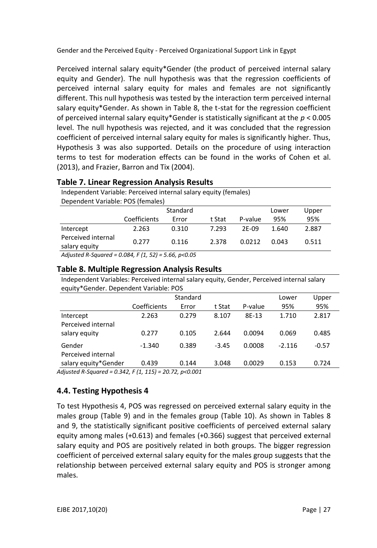Perceived internal salary equity\*Gender (the product of perceived internal salary equity and Gender). The null hypothesis was that the regression coefficients of perceived internal salary equity for males and females are not significantly different. This null hypothesis was tested by the interaction term perceived internal salary equity\*Gender. As shown in Table 8, the t-stat for the regression coefficient of perceived internal salary equity\*Gender is statistically significant at the *p* < 0.005 level. The null hypothesis was rejected, and it was concluded that the regression coefficient of perceived internal salary equity for males is significantly higher. Thus, Hypothesis 3 was also supported. Details on the procedure of using interaction terms to test for moderation effects can be found in the works of Cohen et al. (2013), and Frazier, Barron and Tix (2004).

| <b>Table 7. Linear Regression Analysis Results</b>               |                                   |          |        |         |       |       |  |
|------------------------------------------------------------------|-----------------------------------|----------|--------|---------|-------|-------|--|
| Independent Variable: Perceived internal salary equity (females) |                                   |          |        |         |       |       |  |
|                                                                  | Dependent Variable: POS (females) |          |        |         |       |       |  |
|                                                                  |                                   | Standard |        |         | Lower | Upper |  |
|                                                                  | Coefficients                      | Error    | t Stat | P-value | 95%   | 95%   |  |
| Intercept                                                        | 2.263                             | 0.310    | 7.293  | $2F-09$ | 1.640 | 2.887 |  |
| Perceived internal<br>salary equity                              | 0.277                             | 0.116    | 2.378  | 0.0212  | 0.043 | 0.511 |  |
|                                                                  | $0.001 - 11.01 = 000$             |          |        |         |       |       |  |

 *Adjusted R-Squared = 0.084, F (1, 52) = 5.66, p<0.05*

#### **Table 8. Multiple Regression Analysis Results**

Independent Variables: Perceived internal salary equity, Gender, Perceived internal salary equity\*Gender. Dependent Variable: POS

|                      |              | Lower | Upper   |         |          |         |
|----------------------|--------------|-------|---------|---------|----------|---------|
|                      | Coefficients | Error | t Stat  | P-value | 95%      | 95%     |
| Intercept            | 2.263        | 0.279 | 8.107   | 8E-13   | 1.710    | 2.817   |
| Perceived internal   |              |       |         |         |          |         |
| salary equity        | 0.277        | 0.105 | 2.644   | 0.0094  | 0.069    | 0.485   |
| Gender               | $-1.340$     | 0.389 | $-3.45$ | 0.0008  | $-2.116$ | $-0.57$ |
| Perceived internal   |              |       |         |         |          |         |
| salary equity*Gender | 0.439        | 0.144 | 3.048   | 0.0029  | 0.153    | 0.724   |

*Adjusted R-Squared = 0.342, F (1, 115) = 20.72, p<0.001*

## **4.4. Testing Hypothesis 4**

To test Hypothesis 4, POS was regressed on perceived external salary equity in the males group (Table 9) and in the females group (Table 10). As shown in Tables 8 and 9, the statistically significant positive coefficients of perceived external salary equity among males (+0.613) and females (+0.366) suggest that perceived external salary equity and POS are positively related in both groups. The bigger regression coefficient of perceived external salary equity for the males group suggests that the relationship between perceived external salary equity and POS is stronger among males.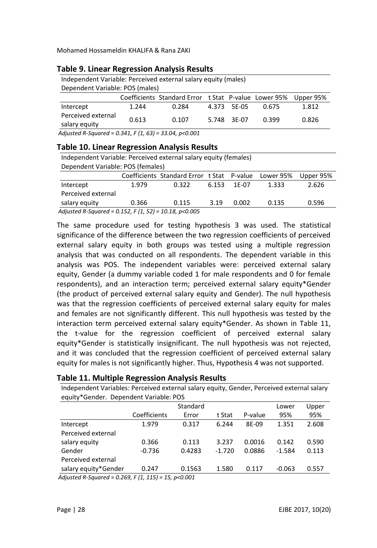| Independent Variable: Perceived external salary equity (males) |       |                                                      |  |             |       |           |  |  |
|----------------------------------------------------------------|-------|------------------------------------------------------|--|-------------|-------|-----------|--|--|
| Dependent Variable: POS (males)                                |       |                                                      |  |             |       |           |  |  |
|                                                                |       | Coefficients Standard Error t Stat P-value Lower 95% |  |             |       | Upper 95% |  |  |
| Intercept                                                      | 1.244 | 0.284                                                |  | 4.373 5E-05 | 0.675 | 1.812     |  |  |
| Perceived external<br>salary equity                            | 0.613 | 0.107                                                |  | 5.748 3F-07 | 0.399 | 0.826     |  |  |
| $A$ diusted B Caugred - 0.341 F/1 C31 - 33.04 p < 0.001        |       |                                                      |  |             |       |           |  |  |

#### **Table 9. Linear Regression Analysis Results**

*Adjusted R-Squared = 0.341, F (1, 63) = 33.04, p<0.001*

#### **Table 10. Linear Regression Analysis Results**

| Independent Variable: Perceived external salary equity (females)                                                                                                |       |                                            |       |       |           |           |  |
|-----------------------------------------------------------------------------------------------------------------------------------------------------------------|-------|--------------------------------------------|-------|-------|-----------|-----------|--|
| Dependent Variable: POS (females)                                                                                                                               |       |                                            |       |       |           |           |  |
|                                                                                                                                                                 |       | Coefficients Standard Error t Stat P-value |       |       | Lower 95% | Upper 95% |  |
| Intercept                                                                                                                                                       | 1.979 | 0.322                                      | 6.153 | 1F-07 | 1.333     | 2.626     |  |
| Perceived external                                                                                                                                              |       |                                            |       |       |           |           |  |
| salary equity                                                                                                                                                   | 0.366 | 0.115                                      | 3.19  | 0.002 | 0.135     | 0.596     |  |
| $\overline{AB}$ $\overline{AB}$ $\overline{BC}$ $\overline{AB}$ $\overline{AB}$ $\overline{BC}$ $\overline{BC}$ $\overline{BC}$ $\overline{BC}$ $\overline{BC}$ |       |                                            |       |       |           |           |  |

*Adjusted R-Squared = 0.152, F (1, 52) = 10.18, p<0.005*

The same procedure used for testing hypothesis 3 was used. The statistical significance of the difference between the two regression coefficients of perceived external salary equity in both groups was tested using a multiple regression analysis that was conducted on all respondents. The dependent variable in this analysis was POS. The independent variables were: perceived external salary equity, Gender (a dummy variable coded 1 for male respondents and 0 for female respondents), and an interaction term; perceived external salary equity\*Gender (the product of perceived external salary equity and Gender). The null hypothesis was that the regression coefficients of perceived external salary equity for males and females are not significantly different. This null hypothesis was tested by the interaction term perceived external salary equity\*Gender. As shown in Table 11, the t-value for the regression coefficient of perceived external salary equity\*Gender is statistically insignificant. The null hypothesis was not rejected, and it was concluded that the regression coefficient of perceived external salary equity for males is not significantly higher. Thus, Hypothesis 4 was not supported.

| Independent Variables: Perceived external salary equity, Gender, Perceived external salary |              |          |          |         |          |       |  |  |
|--------------------------------------------------------------------------------------------|--------------|----------|----------|---------|----------|-------|--|--|
| equity*Gender. Dependent Variable: POS                                                     |              |          |          |         |          |       |  |  |
|                                                                                            |              | Standard |          |         |          |       |  |  |
|                                                                                            | Coefficients | Error    | t Stat   | P-value | 95%      | 95%   |  |  |
| Intercept                                                                                  | 1.979        | 0.317    | 6.244    | 8E-09   | 1.351    | 2.608 |  |  |
| Perceived external                                                                         |              |          |          |         |          |       |  |  |
| salary equity                                                                              | 0.366        | 0.113    | 3.237    | 0.0016  | 0.142    | 0.590 |  |  |
| Gender                                                                                     | $-0.736$     | 0.4283   | $-1.720$ | 0.0886  | $-1.584$ | 0.113 |  |  |
| Perceived external                                                                         |              |          |          |         |          |       |  |  |
| salary equity*Gender                                                                       | 0.247        | 0.1563   | 1.580    | 0.117   | $-0.063$ | 0.557 |  |  |
| $A\sin\theta$ $B\cos\theta$ = 0.250 $F(1, 11F)$ = 15 $R\approx 0.001$                      |              |          |          |         |          |       |  |  |

#### **Table 11. Multiple Regression Analysis Results**

*Adjusted R-Squared = 0.269, F (1, 115) = 15, p<0.001*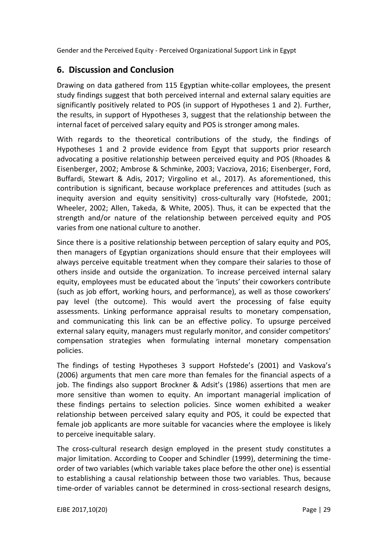# **6. Discussion and Conclusion**

Drawing on data gathered from 115 Egyptian white-collar employees, the present study findings suggest that both perceived internal and external salary equities are significantly positively related to POS (in support of Hypotheses 1 and 2). Further, the results, in support of Hypotheses 3, suggest that the relationship between the internal facet of perceived salary equity and POS is stronger among males.

With regards to the theoretical contributions of the study, the findings of Hypotheses 1 and 2 provide evidence from Egypt that supports prior research advocating a positive relationship between perceived equity and POS (Rhoades & Eisenberger, 2002; Ambrose & Schminke, 2003; Vacziova, 2016; Eisenberger, Ford, Buffardi, Stewart & Adis, 2017; Virgolino et al., 2017). As aforementioned, this contribution is significant, because workplace preferences and attitudes (such as inequity aversion and equity sensitivity) cross-culturally vary (Hofstede, 2001; Wheeler, 2002; Allen, Takeda, & White, 2005). Thus, it can be expected that the strength and/or nature of the relationship between perceived equity and POS varies from one national culture to another.

Since there is a positive relationship between perception of salary equity and POS, then managers of Egyptian organizations should ensure that their employees will always perceive equitable treatment when they compare their salaries to those of others inside and outside the organization. To increase perceived internal salary equity, employees must be educated about the 'inputs' their coworkers contribute (such as job effort, working hours, and performance), as well as those coworkers' pay level (the outcome). This would avert the processing of false equity assessments. Linking performance appraisal results to monetary compensation, and communicating this link can be an effective policy. To upsurge perceived external salary equity, managers must regularly monitor, and consider competitors' compensation strategies when formulating internal monetary compensation policies.

The findings of testing Hypotheses 3 support Hofstede's (2001) and Vaskova's (2006) arguments that men care more than females for the financial aspects of a job. The findings also support Brockner & Adsit's (1986) assertions that men are more sensitive than women to equity. An important managerial implication of these findings pertains to selection policies. Since women exhibited a weaker relationship between perceived salary equity and POS, it could be expected that female job applicants are more suitable for vacancies where the employee is likely to perceive inequitable salary.

The cross-cultural research design employed in the present study constitutes a major limitation. According to Cooper and Schindler (1999), determining the timeorder of two variables (which variable takes place before the other one) is essential to establishing a causal relationship between those two variables. Thus, because time-order of variables cannot be determined in cross-sectional research designs,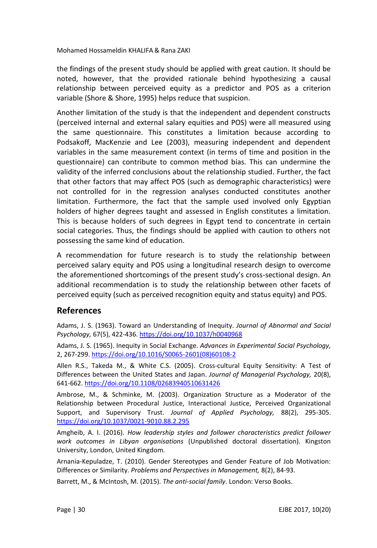the findings of the present study should be applied with great caution. It should be noted, however, that the provided rationale behind hypothesizing a causal relationship between perceived equity as a predictor and POS as a criterion variable (Shore & Shore, 1995) helps reduce that suspicion.

Another limitation of the study is that the independent and dependent constructs (perceived internal and external salary equities and POS) were all measured using the same questionnaire. This constitutes a limitation because according to Podsakoff, MacKenzie and Lee (2003), measuring independent and dependent variables in the same measurement context (in terms of time and position in the questionnaire) can contribute to common method bias. This can undermine the validity of the inferred conclusions about the relationship studied. Further, the fact that other factors that may affect POS (such as demographic characteristics) were not controlled for in the regression analyses conducted constitutes another limitation. Furthermore, the fact that the sample used involved only Egyptian holders of higher degrees taught and assessed in English constitutes a limitation. This is because holders of such degrees in Egypt tend to concentrate in certain social categories. Thus, the findings should be applied with caution to others not possessing the same kind of education.

A recommendation for future research is to study the relationship between perceived salary equity and POS using a longitudinal research design to overcome the aforementioned shortcomings of the present study's cross-sectional design. An additional recommendation is to study the relationship between other facets of perceived equity (such as perceived recognition equity and status equity) and POS.

## **References**

Adams, J. S. (1963). Toward an Understanding of Inequity. *Journal of Abnormal and Social Psychology,* 67(5), 422-436. <https://doi.org/10.1037/h0040968>

Adams, J. S. (1965). Inequity in Social Exchange. *Advances in Experimental Social Psychology,* 2, 267-299. [https://doi.org/10.1016/S0065-2601\(08\)60108-2](https://doi.org/10.1016/S0065-2601(08)60108-2)

Allen R.S., Takeda M., & White C.S. (2005). Cross-cultural Equity Sensitivity: A Test of Differences between the United States and Japan. *Journal of Managerial Psychology,* 20(8), 641-662. <https://doi.org/10.1108/02683940510631426>

Ambrose, M., & Schminke, M. (2003). Organization Structure as a Moderator of the Relationship between Procedural Justice, Interactional Justice, Perceived Organizational Support, and Supervisory Trust. *Journal of Applied Psychology,* 88(2), 295-305. <https://doi.org/10.1037/0021-9010.88.2.295>

Amgheib, A. I. (2016). *How leadership styles and follower characteristics predict follower work outcomes in Libyan organisations* (Unpublished doctoral dissertation). Kingston University, London, United Kingdom.

Arnania-Kepuladze, T. (2010). Gender Stereotypes and Gender Feature of Job Motivation: Differences or Similarity. *Problems and Perspectives in Management,* 8(2), 84-93.

Barrett, M., & McIntosh, M. (2015). *The anti-social family*. London: Verso Books.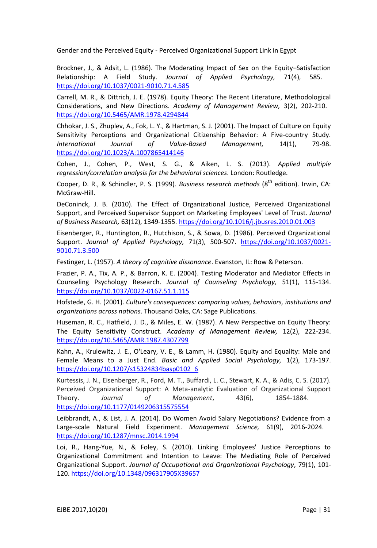Brockner, J., & Adsit, L. (1986). The Moderating Impact of Sex on the Equity–Satisfaction Relationship: A Field Study. *Journal of Applied Psychology,* 71(4), 58[5.](https://doi.org/10.1037/0021-9010.71.4.585) <https://doi.org/10.1037/0021-9010.71.4.585>

Carrell, M. R., & Dittrich, J. E. (1978). Equity Theory: The Recent Literature, Methodological Considerations, and New Directions. *Academy of Management Review,* 3(2), 202-210[.](https://doi.org/10.5465/AMR.1978.4294844) <https://doi.org/10.5465/AMR.1978.4294844>

Chhokar, J. S., Zhuplev, A., Fok, L. Y., & Hartman, S. J. (2001). The Impact of Culture on Equity Sensitivity Perceptions and Organizational Citizenship Behavior: A Five-country Study. *International Journal of Value-Based Management,* 14(1), 79-98. <https://doi.org/10.1023/A:1007865414146>

Cohen, J., Cohen, P., West, S. G., & Aiken, L. S. (2013). *Applied multiple regression/correlation analysis for the behavioral sciences*. London: Routledge.

Cooper, D. R., & Schindler, P. S. (1999). *Business research methods* (8<sup>th</sup> edition). Irwin, CA: McGraw-Hill.

DeConinck, J. B. (2010). The Effect of Organizational Justice, Perceived Organizational Support, and Perceived Supervisor Support on Marketing Employees' Level of Trust. *Journal of Business Research,* 63(12), 1349-1355[.](https://doi.org/10.1016/j.jbusres.2010.01.003) <https://doi.org/10.1016/j.jbusres.2010.01.003>

Eisenberger, R., Huntington, R., Hutchison, S., & Sowa, D. (1986). Perceived Organizational Support. *Journal of Applied Psychology,* 71(3), 500-507. [https://doi.org/10.1037/0021-](https://doi.org/10.1037/0021-9010.71.3.500) [9010.71.3.500](https://doi.org/10.1037/0021-9010.71.3.500)

Festinger, L. (1957). *A theory of cognitive dissonance*. Evanston, IL: Row & Peterson.

Frazier, P. A., Tix, A. P., & Barron, K. E. (2004). Testing Moderator and Mediator Effects in Counseling Psychology Research. *Journal of Counseling Psychology,* 51(1), 115-134. <https://doi.org/10.1037/0022-0167.51.1.115>

Hofstede, G. H. (2001). *Culture's consequences: comparing values, behaviors, institutions and organizations across nations*. Thousand Oaks, CA: Sage Publications.

Huseman, R. C., Hatfield, J. D., & Miles, E. W. (1987). A New Perspective on Equity Theory: The Equity Sensitivity Construct. *Academy of Management Review,* 12(2), 222-234. <https://doi.org/10.5465/AMR.1987.4307799>

Kahn, A., Krulewitz, J. E., O'Leary, V. E., & Lamm, H. (1980). Equity and Equality: Male and Female Means to a Just End. *Basic and Applied Social Psychology,* 1(2), 173-197. [https://doi.org/10.1207/s15324834basp0102\\_6](https://doi.org/10.1207/s15324834basp0102_6)

Kurtessis, J. N., Eisenberger, R., Ford, M. T., Buffardi, L. C., Stewart, K. A., & Adis, C. S. (2017). Perceived Organizational Support: A Meta-analytic Evaluation of Organizational Support Theory. *Journal of Management*, 43(6), 1854-188[4.](https://doi.org/10.1177/0149206315575554) <https://doi.org/10.1177/0149206315575554>

Leibbrandt, A., & List, J. A. (2014). Do Women Avoid Salary Negotiations? Evidence from a Large-scale Natural Field Experiment. *Management Science,* 61(9), 2016-2024[.](https://doi.org/10.1287/mnsc.2014.1994) <https://doi.org/10.1287/mnsc.2014.1994>

Loi, R., Hang‐Yue, N., & Foley, S. (2010). Linking Employees' Justice Perceptions to Organizational Commitment and Intention to Leave: The Mediating Role of Perceived Organizational Support. *Journal of Occupational and Organizational Psychology,* 79(1), 101- 120. <https://doi.org/10.1348/096317905X39657>